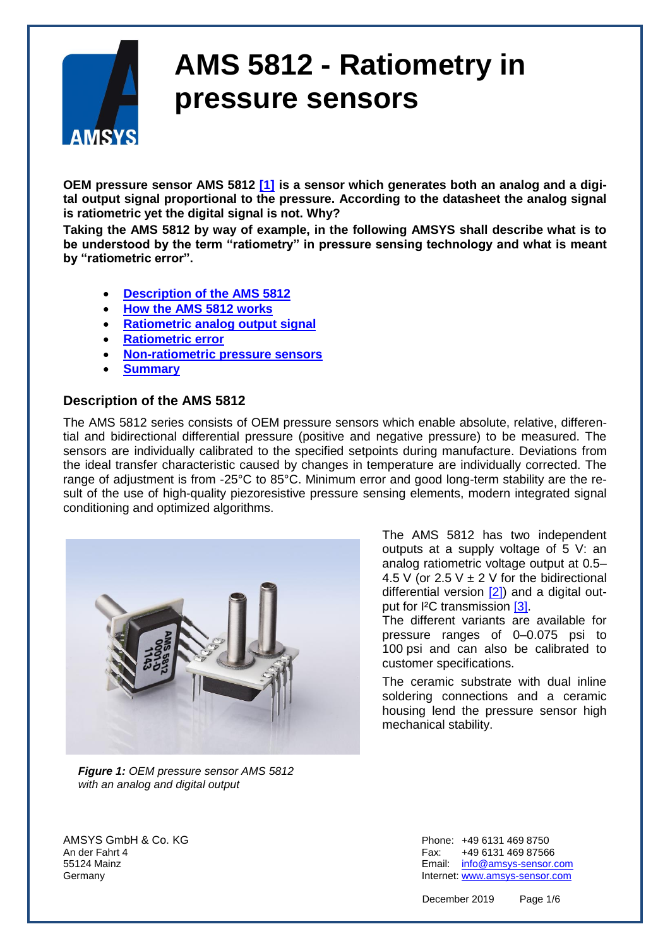

**OEM pressure sensor AMS 5812 [\[1\]](#page-5-0) is a sensor which generates both an analog and a digital output signal proportional to the pressure. According to the datasheet the analog signal is ratiometric yet the digital signal is not. Why?** 

**Taking the AMS 5812 by way of example, in the following AMSYS shall describe what is to be understood by the term "ratiometry" in pressure sensing technology and what is meant by "ratiometric error".** 

- **[Description of the AMS 5812](#page-0-0)**
- **[How the AMS 5812 works](#page-1-0)**
- **[Ratiometric analog output signal](#page-3-0)**
- **[Ratiometric error](#page-4-0)**
- **[Non-ratiometric pressure sensors](#page-4-1)**
- **[Summary](#page-5-1)**

#### <span id="page-0-0"></span>**Description of the AMS 5812**

The AMS 5812 series consists of OEM pressure sensors which enable absolute, relative, differential and bidirectional differential pressure (positive and negative pressure) to be measured. The sensors are individually calibrated to the specified setpoints during manufacture. Deviations from the ideal transfer characteristic caused by changes in temperature are individually corrected. The range of adjustment is from -25°C to 85°C. Minimum error and good long-term stability are the result of the use of high-quality piezoresistive pressure sensing elements, modern integrated signal conditioning and optimized algorithms.



 *Figure 1: OEM pressure sensor AMS 5812 with an analog and digital output*

The AMS 5812 has two independent outputs at a supply voltage of 5 V: an analog ratiometric voltage output at 0.5– 4.5 V (or 2.5 V  $\pm$  2 V for the bidirectional differential version [\[2\]\)](#page-5-0) and a digital output for I²C transmission [\[3\].](#page-5-0)

The different variants are available for pressure ranges of 0–0.075 psi to 100 psi and can also be calibrated to customer specifications.

The ceramic substrate with dual inline soldering connections and a ceramic housing lend the pressure sensor high mechanical stability.

AMSYS GmbH & Co. KG Phone: +49 6131 469 8750 An der Fahrt 4 Fax: +49 6131 469 87566 55124 Mainz Email: [info@amsys-sensor.com](mailto:info@amsys-sensor.com) Germany **Internet:** [www.amsys-sensor.com](https://www.amsys-sensor.com/)

December 2019 Page 1/6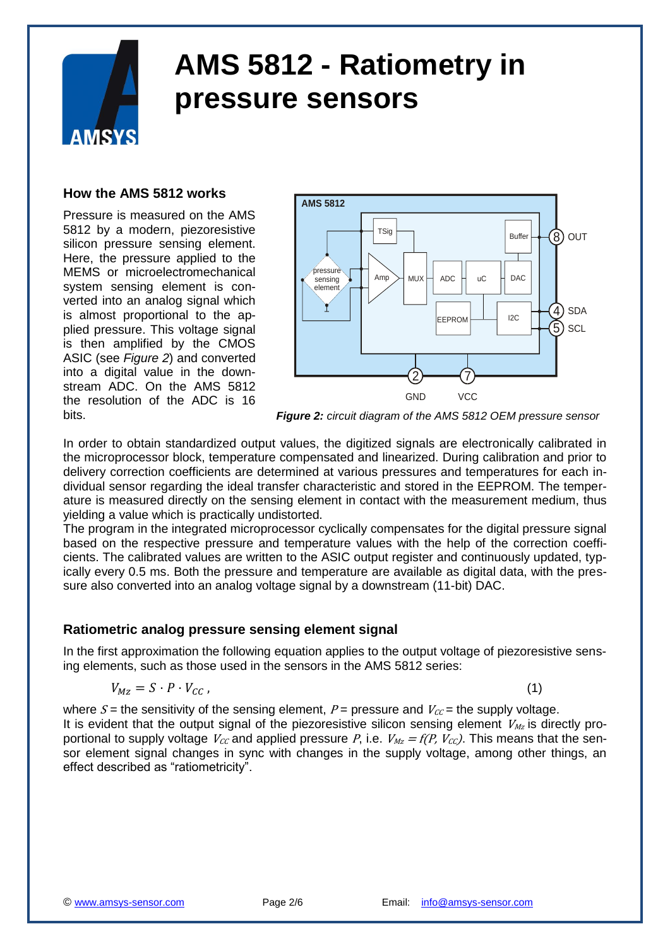<span id="page-1-0"></span>

#### **How the AMS 5812 works**

Pressure is measured on the AMS 5812 by a modern, piezoresistive silicon pressure sensing element. Here, the pressure applied to the MEMS or microelectromechanical system sensing element is converted into an analog signal which is almost proportional to the applied pressure. This voltage signal is then amplified by the CMOS ASIC (see *Figure 2*) and converted into a digital value in the downstream ADC. On the AMS 5812 the resolution of the ADC is 16 bits.



*Figure 2: circuit diagram of the AMS 5812 OEM pressure sensor*

In order to obtain standardized output values, the digitized signals are electronically calibrated in the microprocessor block, temperature compensated and linearized. During calibration and prior to delivery correction coefficients are determined at various pressures and temperatures for each individual sensor regarding the ideal transfer characteristic and stored in the EEPROM. The temperature is measured directly on the sensing element in contact with the measurement medium, thus yielding a value which is practically undistorted.

The program in the integrated microprocessor cyclically compensates for the digital pressure signal based on the respective pressure and temperature values with the help of the correction coefficients. The calibrated values are written to the ASIC output register and continuously updated, typically every 0.5 ms. Both the pressure and temperature are available as digital data, with the pressure also converted into an analog voltage signal by a downstream (11-bit) DAC.

#### **Ratiometric analog pressure sensing element signal**

In the first approximation the following equation applies to the output voltage of piezoresistive sensing elements, such as those used in the sensors in the AMS 5812 series:

$$
V_{Mz} = S \cdot P \cdot V_{CC} \tag{1}
$$

where  $S =$  the sensitivity of the sensing element,  $P =$  pressure and  $V_{CC} =$  the supply voltage. It is evident that the output signal of the piezoresistive silicon sensing element  $V_{M_z}$  is directly proportional to supply voltage  $V_{cc}$  and applied pressure P, i.e.  $V_{Mz} = f(P, V_{cc})$ . This means that the sensor element signal changes in sync with changes in the supply voltage, among other things, an effect described as "ratiometricity".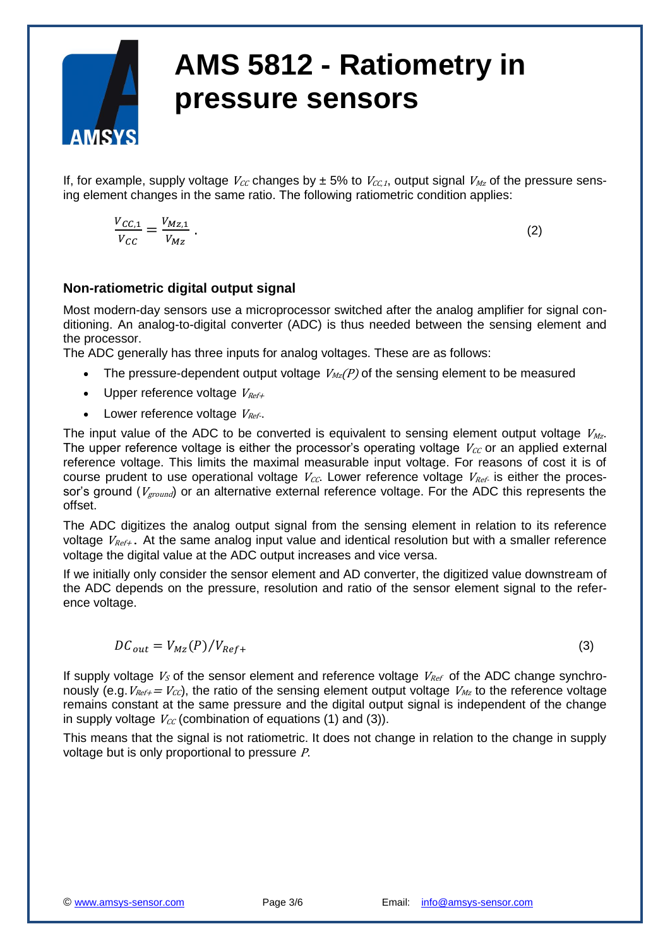

If, for example, supply voltage  $V_{CC}$  changes by  $\pm$  5% to  $V_{CC,I}$ , output signal  $V_{Mz}$  of the pressure sensing element changes in the same ratio. The following ratiometric condition applies:

$$
\frac{V_{CC,1}}{V_{CC}} = \frac{V_{Mz,1}}{V_{Mz}}.
$$

.  $(2)$ 

### **Non-ratiometric digital output signal**

Most modern-day sensors use a microprocessor switched after the analog amplifier for signal conditioning. An analog-to-digital converter (ADC) is thus needed between the sensing element and the processor.

The ADC generally has three inputs for analog voltages. These are as follows:

- The pressure-dependent output voltage  $V_{Mz}(P)$  of the sensing element to be measured
- Upper reference voltage  $V_{Ref+}$
- Lower reference voltage  $V_{Ref}$ .

The input value of the ADC to be converted is equivalent to sensing element output voltage  $V_{Mz}$ . The upper reference voltage is either the processor's operating voltage  $V_{CC}$  or an applied external reference voltage. This limits the maximal measurable input voltage. For reasons of cost it is of course prudent to use operational voltage  $V_{CC}$ . Lower reference voltage  $V_{Ref}$  is either the processor's ground ( $V_{ground}$ ) or an alternative external reference voltage. For the ADC this represents the offset.

The ADC digitizes the analog output signal from the sensing element in relation to its reference voltage  $V_{Ref+}$ . At the same analog input value and identical resolution but with a smaller reference voltage the digital value at the ADC output increases and vice versa.

If we initially only consider the sensor element and AD converter, the digitized value downstream of the ADC depends on the pressure, resolution and ratio of the sensor element signal to the reference voltage.

$$
DC_{out} = V_{MZ}(P)/V_{Ref+}
$$
\n(3)

If supply voltage  $V<sub>S</sub>$  of the sensor element and reference voltage  $V<sub>Ref</sub>$  of the ADC change synchronously (e.g.  $V_{Ref+}= V_{CC}$ ), the ratio of the sensing element output voltage  $V_{Mz}$  to the reference voltage remains constant at the same pressure and the digital output signal is independent of the change in supply voltage  $V_{cc}$  (combination of equations (1) and (3)).

This means that the signal is not ratiometric. It does not change in relation to the change in supply voltage but is only proportional to pressure P.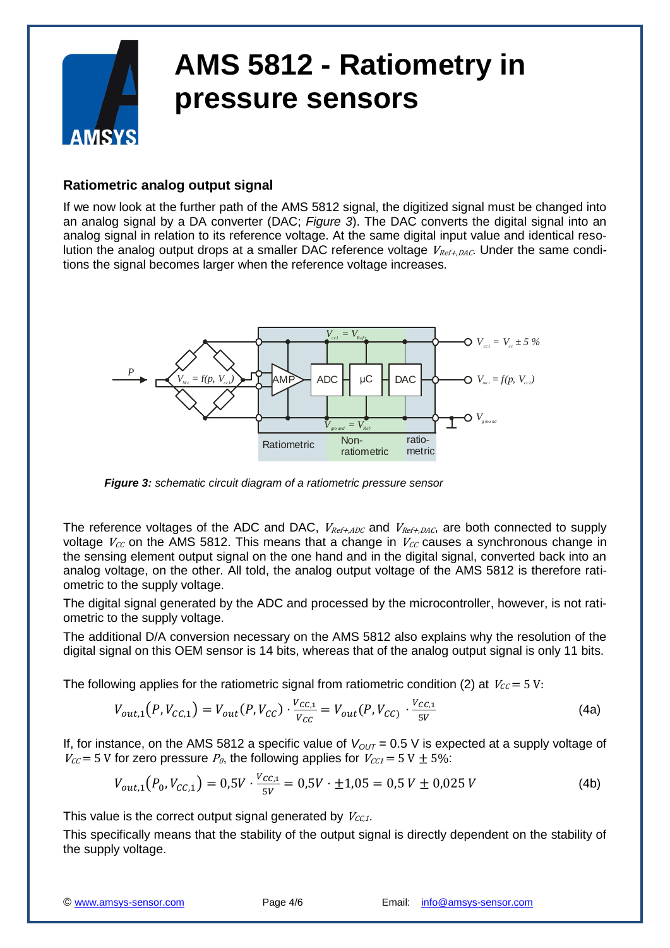

#### <span id="page-3-0"></span>**Ratiometric analog output signal**

If we now look at the further path of the AMS 5812 signal, the digitized signal must be changed into an analog signal by a DA converter (DAC; *Figure 3*). The DAC converts the digital signal into an analog signal in relation to its reference voltage. At the same digital input value and identical resolution the analog output drops at a smaller DAC reference voltage  $V_{Ref+DAC}$ . Under the same conditions the signal becomes larger when the reference voltage increases.



 *Figure 3: schematic circuit diagram of a ratiometric pressure sensor*

The reference voltages of the ADC and DAC,  $V_{Ref+ADC}$  and  $V_{Ref+DAC}$ , are both connected to supply voltage  $V_{CC}$  on the AMS 5812. This means that a change in  $V_{CC}$  causes a synchronous change in the sensing element output signal on the one hand and in the digital signal, converted back into an analog voltage, on the other. All told, the analog output voltage of the AMS 5812 is therefore ratiometric to the supply voltage.

The digital signal generated by the ADC and processed by the microcontroller, however, is not ratiometric to the supply voltage.

The additional D/A conversion necessary on the AMS 5812 also explains why the resolution of the digital signal on this OEM sensor is 14 bits, whereas that of the analog output signal is only 11 bits.

The following applies for the ratiometric signal from ratiometric condition (2) at  $V_{CC} = 5$  V:

$$
V_{out,1}(P,V_{CC,1}) = V_{out}(P,V_{CC}) \cdot \frac{V_{CC,1}}{V_{CC}} = V_{out}(P,V_{CC}) \cdot \frac{V_{CC,1}}{5V}
$$
(4a)

If, for instance, on the AMS 5812 a specific value of  $V_{OUT} = 0.5$  V is expected at a supply voltage of  $V_{CC}$  = 5 V for zero pressure  $P_0$ , the following applies for  $V_{CC}$  = 5 V  $\pm$  5%:

$$
V_{out,1}(P_0, V_{CC,1}) = 0.5V \cdot \frac{V_{CC,1}}{5V} = 0.5V \cdot \pm 1.05 = 0.5V \pm 0.025V
$$
 (4b)

This value is the correct output signal generated by  $V_{CC,1}$ .

This specifically means that the stability of the output signal is directly dependent on the stability of the supply voltage.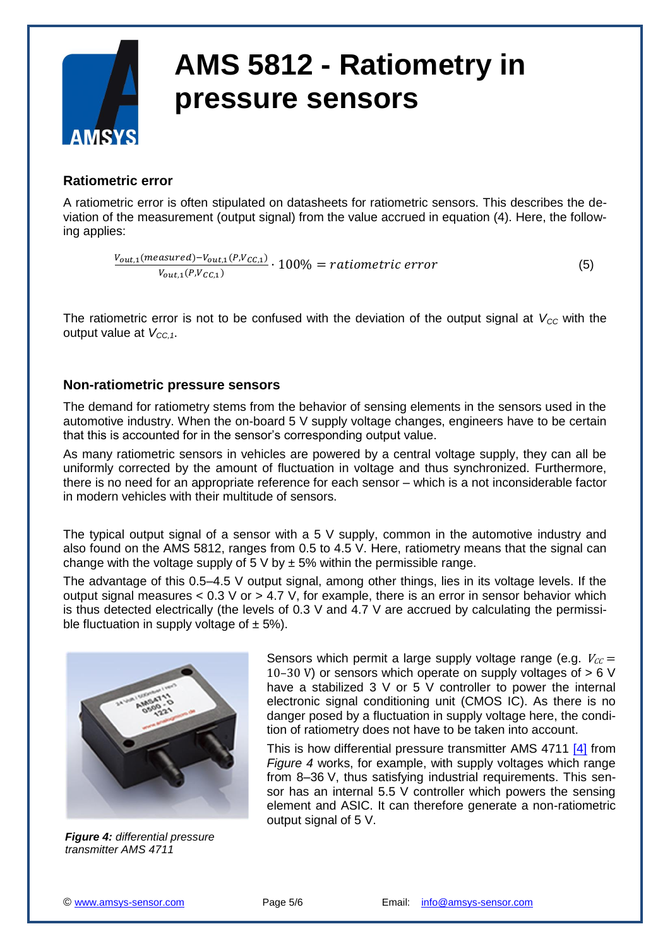

#### <span id="page-4-0"></span>**Ratiometric error**

A ratiometric error is often stipulated on datasheets for ratiometric sensors. This describes the deviation of the measurement (output signal) from the value accrued in equation (4). Here, the following applies:

 $\frac{V_{out,1}(measured) - V_{out,1}(P,V_{CC,1})}{V_{out,1}(P,V_{C,1})} \cdot 100\% = rationalireerror$  (5)  $V_{out 1}(P,V_{CC 1})$ 

The ratiometric error is not to be confused with the deviation of the output signal at  $V_{CC}$  with the output value at  $V_{CC,1}$ .

#### <span id="page-4-1"></span>**Non-ratiometric pressure sensors**

The demand for ratiometry stems from the behavior of sensing elements in the sensors used in the automotive industry. When the on-board 5 V supply voltage changes, engineers have to be certain that this is accounted for in the sensor's corresponding output value.

As many ratiometric sensors in vehicles are powered by a central voltage supply, they can all be uniformly corrected by the amount of fluctuation in voltage and thus synchronized. Furthermore, there is no need for an appropriate reference for each sensor – which is a not inconsiderable factor in modern vehicles with their multitude of sensors.

The typical output signal of a sensor with a  $5 \vee$  supply, common in the automotive industry and also found on the AMS 5812, ranges from 0.5 to 4.5 V. Here, ratiometry means that the signal can change with the voltage supply of 5 V by  $\pm$  5% within the permissible range.

The advantage of this 0.5–4.5 V output signal, among other things, lies in its voltage levels. If the output signal measures  $< 0.3$  V or  $> 4.7$  V, for example, there is an error in sensor behavior which is thus detected electrically (the levels of 0.3 V and 4.7 V are accrued by calculating the permissible fluctuation in supply voltage of  $\pm$  5%).



*Figure 4: differential pressure transmitter AMS 4711*

Sensors which permit a large supply voltage range (e.g.  $V_{CC}$  = 10–30 V) or sensors which operate on supply voltages of  $> 6$  V have a stabilized 3 V or 5 V controller to power the internal electronic signal conditioning unit (CMOS IC). As there is no danger posed by a fluctuation in supply voltage here, the condition of ratiometry does not have to be taken into account.

This is how differential pressure transmitter AMS 4711 [\[4\]](#page-5-0) from *Figure 4* works, for example, with supply voltages which range from 8–36 V, thus satisfying industrial requirements. This sensor has an internal 5.5 V controller which powers the sensing element and ASIC. It can therefore generate a non-ratiometric output signal of 5 V.